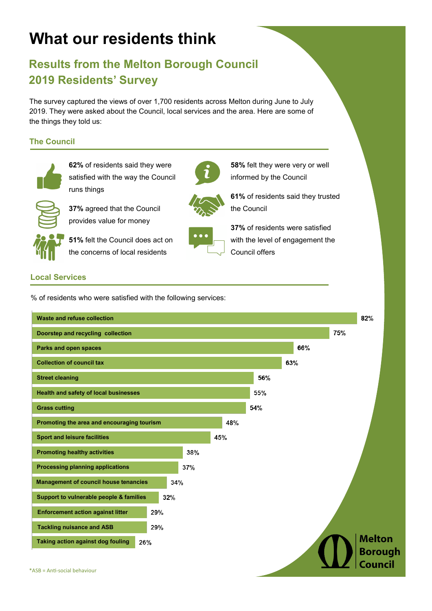# **What our residents think**

# **Results from the Melton Borough Council 2019 Residents' Survey**

The survey captured the views of over 1,700 residents across Melton during June to July 2019. They were asked about the Council, local services and the area. Here are some of the things they told us:

# **The Council**



**62%** of residents said they were satisfied with the way the Council runs things



**37%** agreed that the Council provides value for money

**51%** felt the Council does act on the concerns of local residents

**58%** felt they were very or well informed by the Council

**61%** of residents said they trusted the Council



**37%** of residents were satisfied with the level of engagement the Council offers

# **Local Services**

% of residents who were satisfied with the following services:

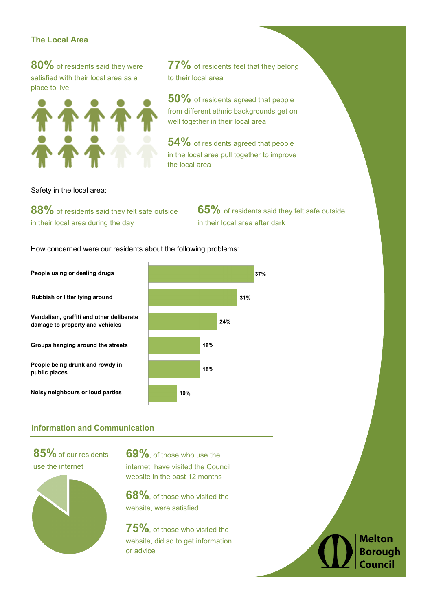#### **The Local Area**

**80%** of residents said they were satisfied with their local area as a place to live



**77%** of residents feel that they belong to their local area

**50%** of residents agreed that people from different ethnic backgrounds get on well together in their local area

**54%** of residents agreed that people in the local area pull together to improve the local area

Safety in the local area:

**88%** of residents said they felt safe outside in their local area during the day

**65%** of residents said they felt safe outside in their local area after dark

How concerned were our residents about the following problems:

**People using or dealing drugs Rubbish or litter lying around Vandalism, graffiti and other deliberate damage to property and vehicles Groups hanging around the streets People being drunk and rowdy in public places Noisy neighbours or loud parties**  10%



# **Information and Communication**

**85%** of our residents use the internet



**69%**, of those who use the internet, have visited the Council website in the past 12 months

**68%**, of those who visited the website, were satisfied

**75%**, of those who visited the website, did so to get information or advice

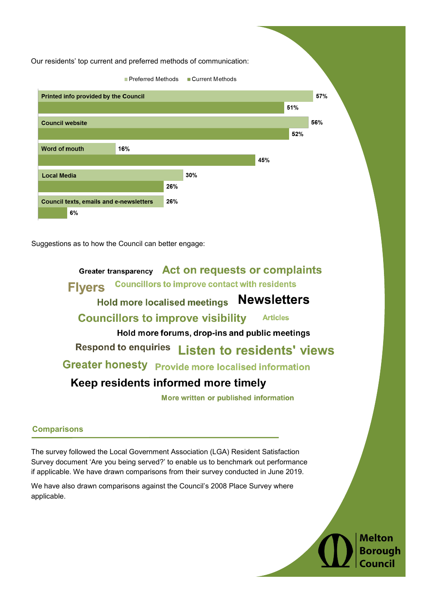Our residents' top current and preferred methods of communication:



Suggestions as to how the Council can better engage:

Greater transparency Act on requests or complaints **Councillors to improve contact with residents Flvers** Hold more localised meetings Newsletters **Councillors to improve visibility Articles** Hold more forums, drop-ins and public meetings Respond to enquiries Listen to residents' views **Greater honesty** Provide more localised information Keep residents informed more timely

More written or published information

## **Comparisons**

The survey followed the Local Government Association (LGA) Resident Satisfaction Survey document 'Are you being served?' to enable us to benchmark out performance if applicable. We have drawn comparisons from their survey conducted in June 2019.

We have also drawn comparisons against the Council's 2008 Place Survey where applicable.

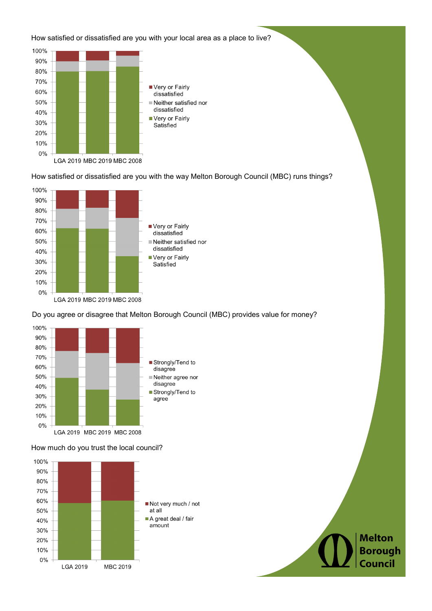#### How satisfied or dissatisfied are you with your local area as a place to live?



How satisfied or dissatisfied are you with the way Melton Borough Council (MBC) runs things?



#### Do you agree or disagree that Melton Borough Council (MBC) provides value for money?



#### How much do you trust the local council?